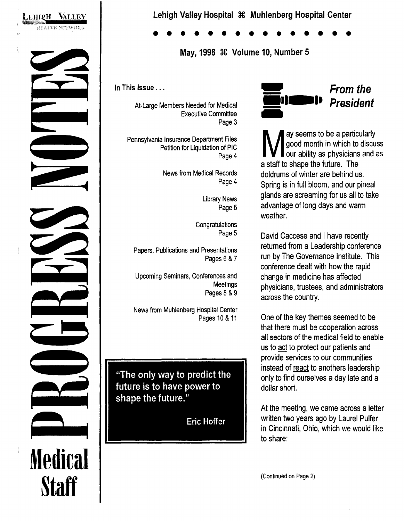

## **Lehigh Valley Hospital X Muhlenberg Hospital Center**

• • • • • • • • • • • • • • •

**May, 1998 X Volume 10, Number 5** 

In This Issue ...

At-Large Members Needed for Medical Executive Committee Page 3

Pennsylvania Insurance Department Files Petition for Liquidation of PIC Page 4

> News from Medical Records Page 4

> > Library News Page 5

**Congratulations** Page 5

Papers, Publications and Presentations Pages 6 & 7

Upcoming Seminars, Conferences and **Meetings** Pages 8 & 9

News from Muhlenberg Hospital Center Pages 10 & 11

"The only way to predict the future is to have power to shape the future."

**Eric Hoffer** 



W ay seems to be a particularly<br>good month in which to discure our ability as physicians and good month in which to discuss our ability as physicians and as a staff to shape the future. The doldrums of winter are behind us. Spring is in full bloom, and our pineal glands are screaming for us all to take advantage of long days and warm weather.

David Caccese and I have recently returned from a Leadership conference run by The Governance Institute. This conference dealt with how the rapid change in medicine has affected physicians, trustees, and administrators across the country.

One of the key themes seemed to be that there must be cooperation across all sectors of the medical field to enable us to act to protect our patients and provide services to our communities instead of react to anothers leadership only to find ourselves a day late and a dollar short.

At the meeting, we came across a letter written two years ago by Laurel Pulfer in Cincinnati, Ohio, which we would like to share:

(Continued on Page 2)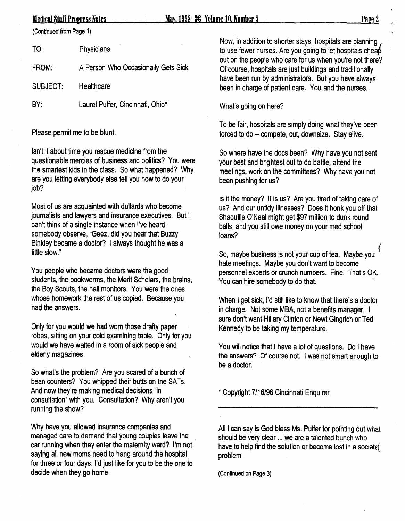<u>Medical Staff Progress Notes May 1998 36 Volume 10. Number 5 Page 2</u> Page 2

(Continued from Page 1)

| TO:          | Physicians                          |  |
|--------------|-------------------------------------|--|
| <b>FROM:</b> | A Person Who Occasionally Gets Sick |  |
| SUBJECT:     | Healthcare                          |  |
| BY:          | Laurel Pulfer, Cincinnati, Ohio*    |  |

Please permit me to be blunt.

Isn't it about time you rescue medicine from the questionable mercies of business and politics? You were the smartest kids in the class. So what happened? Why are you letting everybody else tell you how to do your job?

Most of us are acquainted with dullards who become journalists and lawyers and insurance executives. But I can't think of a single instance when I've heard somebody observe, "Geez, did you hear that Buzzy Binkley became a doctor? I always thought he was a little slow."

You people who became doctors were the good students, the bookworms, the Merit Scholars, the brains, the Boy Scouts, the hall monitors. You were the ones whose homework the rest of us copied. Because you had the answers.

Only for you would we had worn those drafty paper robes, sitting on your cold examining table. Only for you would we have waited in a room of sick people and elderly magazines.

So what's the problem? Are you scared of a bunch of bean counters? You whipped their butts on the SATs. And now they're making medical decisions "in consultation" with you. Consultation? Why aren't you running the show?

Why have you allowed insurance companies and managed care to demand that young couples leave the car running when they enter the maternity ward? I'm not saying all new moms need to hang around the hospital for three or four days. I'd just like for you to be the one to decide when they go home.

Now, in addition to shorter stays, hospitals are planning { to use fewer nurses. Are you going to let hospitals cheap out on the people who care for us when you're not there? Of course, hospitals are just buildings and traditionally have been run by administrators. But you have always been in charge of patient care. You and the nurses.

What's going on here?

To be fair, hospitals are simply doing what they've been forced to do-- compete, cut, downsize. Stay alive.

So where have the docs been? Why have you not sent your best and brightest out to do battle, attend the meetings, work on the committees? Why have you not been pushing for us?

Is it the money? It is us? Are you tired of taking care of us? And our untidy illnesses? Does it honk you off that Shaquille O'Neal might get \$97 million to dunk round balls, and you still owe money on your med school loans?

So, maybe business is not your cup of tea. Maybe you ( hate meetings. Maybe you don't want to become personnel experts or crunch numbers. Fine. That's OK. You can hire somebody to do that.

When I get sick, I'd still like to know that there's a doctor in charge. Not some MBA, not a benefits manager. I sure don't want Hillary Clinton or Newt Gingrich or Ted Kennedy to be taking my temperature.

You will notice that I have a lot of questions. Do I have the answers? Of course not. I was not smart enough to be a doctor.

\*Copyright 7/16/96 Cincinnati Enquirer

All I can say is God bless Ms. Pulfer for pointing out what should be very clear ... we are a talented bunch who have to help find the solution or become lost in a societe( problem.

(Continued on Page 3)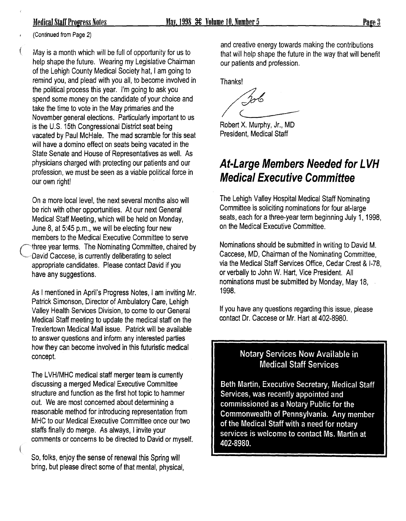(Continued from Page 2)

May is a month which will be full of opportunity for us to help shape the future. Wearing my Legislative Chairman of the Lehigh County Medical Society hat, I am going to remind you, and plead with you all, to become involved in the political process this year. I'm going to ask you spend some money on the candidate of your choice and take the time to vote in the May primaries and the November general elections. Particularly important to us is the U.S. 15th Congressional District seat being vacated by Paul McHale. The mad scramble for this seat will have a domino effect on seats being vacated in the State Senate and House of Representatives as well. As physicians charged with protecting our patients and our profession, we must be seen as a viable political force in our own right!

On a more local level, the next several months also will be rich with other opportunities. At our next General Medical Staff Meeting, which will be held on Monday, June  $8$ , at  $5:45$  p.m., we will be electing four new members to the Medical Executive.Committee to serve three year terms. The Nominating Committee, chaired by David Caccese, is currently deliberating to select appropriate candidates. Please contact David if you have any suggestions.

As I mentioned in April's Progress Notes, I am inviting Mr. Patrick Simonson, Director of Ambulatory Care, Lehigh Valley Health Services Division, to come to our General Medical Staff meeting to update the medical staff on the Trexlertown Medical Mall issue. Patrick will be available to answer questions and inform any interested parties how they can become involved in this futuristic medical concept.

The LVH/MHC medical staff merger team is currently discussing a merged Medical Executive Committee structure and function as the first hot topic to hammer out. We are most concerned about determining a reasonable method for introducing representation from MHC to our Medical Executive Committee once our two staffs finally do merge. As always, I invite your comments or concerns to be directed to David or myself.

So, folks, enjoy the sense of renewal this Spring will bring, but please direct some of that mental, physical, and creative energy towards making the contributions that will help shape the future in the way that will benefit our patients and profession.

Thanks!

/ 306

Robert X. Murphy, Jr., MD President, Medical Staff

## **At-Large Members Needed for L VH Medical Executive Committee**

The Lehigh Valley Hospital Medical Staff Nominating Committee is soliciting nominations for four at-large seats, each for a three-year term beginning July 1, 1998, on the Medical Executive Committee.

Nominations should be submitted in writing to David M. Caccese, MD, Chairman of the Nominating Committee, via the Medical Staff Services Office, Cedar Crest & 1-78, or verbally to John W. Hart, Vice President. All nominations must be submitted by Monday, May 18, 1998.

If you have any questions regarding this issue, please contact Dr. Caccese or Mr. Hart at 402-8980.

### Notary Services Now Available in Medical Staff Services

Beth Martin, Executive Secretary, Medical Staff Services, was recently appointed and commissioned as a Notary Public for the Commonwealth of Pennsylvania. Any member of the Medical Staff with a need for notary services is welcome to contact Ms. Martin at 402·8980.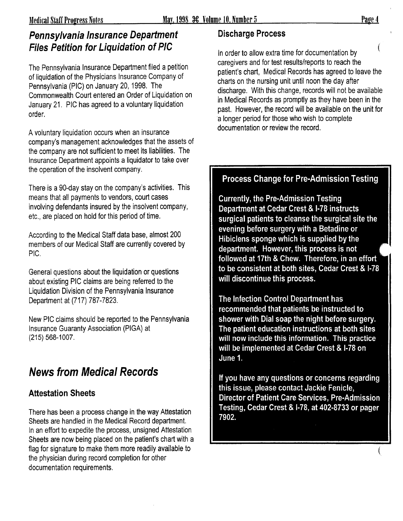## Pennsylvania Insurance Department Discharge Process Files Petition for Liquidation of PIC

The Pennsylvania Insurance Department filed a petition of liquidation of the Physicians Insurance Company of Pennsylvania (PIC) on January 20, 1998. The Commonwealth Court entered an Order of Liquidation on January 21. PIC has agreed to a voluntary liquidation order.

A voluntary liquidation occurs when an insurance company's management acknowledges that the assets of the company are not sufficient to meet its liabilities. The Insurance Department appoints a liquidator to take over the operation of the insolvent company.

There is a 90-day stay on the company's activities. This means that all payments to vendors, court cases involving defendants insured by the insolvent company, etc., are placed on hold for this period of time.

According to the Medical Staff data base, almost 200 members of our Medical Staff are currently covered by PIC.

General questions about the liquidation or questions about existing PIC claims are being referred to the Liquidation Division of the Pennsylvania Insurance Department at (717) 787-7823.

New PIC claims should be reported to the Pennsylvania Insurance Guaranty Association (PIGA) at (215) 568-1007.

## News from Medical Records

## Attestation Sheets

There has been a process change in the way Attestation Sheets are handled in the Medical Record department. In an effort to expedite the process, unsigned Attestation Sheets are now being placed on the patient's chart with a flag for signature to make them more readily available to the physician during record completion for other documentation requirements.

In order to allow extra time for documentation by caregivers and for test results/reports to reach the patient's chart, Medical Records has agreed to leave the charts on the nursing unit until noon the day after discharge. With this change, records will not be available in Medical Records as promptly as they have been in the past. However, the record will be available on the unit for a longer period for those who wish to complete documentation or review the record.

## Process Change for Pre-Admission Testing

Currently, the Pre-Admission Testing Department at Cedar Crest & I· 78 instructs surgical patients to cleanse the surgical site the evening before surgery with a Betadine or Hibiclens sponge which is supplied by the department. However, this process is not followed at 17th & Chew. Therefore, in an effort to be consistent at both sites, Cedar Crest & I-78 will discontinue this process.

The Infection Control Department has recommended that patients be instructed to shower with Dial soap the night before surgery. The patient education instructions at both sites will now include this information. This practice will be implemented at Cedar Crest & 1-78 on June 1.

If you have any questions or concerns regarding this issue, please contact Jackie Fenicle, Director of Patient Care Services, Pre-Admission Testing, Cedar Crest & 1-78, at 402-8733 or pager 7902.

(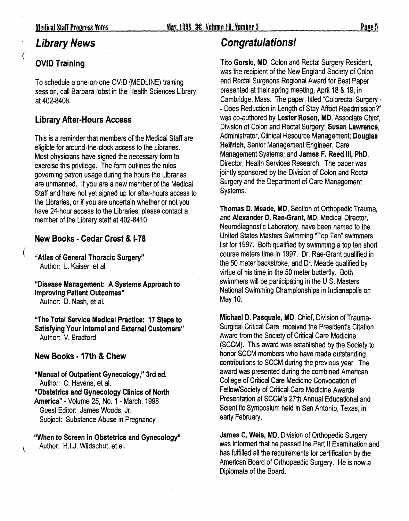## Library News

## OVID Training

To schedule a one-on-one OVID (MEDLINE) training session, call Barbara lobst in the Health Sciences Library at 402-8408.

## Library After-Hours Access

This is a reminder that members of the Medical Staff are eligible for around-the-clock access to the Libraries. Most physicians have signed the necessary form to exercise this privilege. The form outlines the rules governing patron usage during the hours the Libraries are unmanned. If you are a new member of the Medical Staff and have not yet signed up for after-hours access to the Libraries, or if you are uncertain whether or not you have 24-hour access to the Libraries, please contact a member of the Library staff at 402-8410.

## New Books • Cedar Crest & I· 78

"Atlas of General Thoracic Surgery" Author: L. Kaiser, et al.

"Disease Management: A Systems Approach to Improving Patient Outcomes" Author: D. Nash, et al.

"The Total Service Medical Practice: 17 Steps to Satisfying Your Internal and External Customers" Author: V. Bradford

### New Books • 17th & Chew

"Manual of Outpatient Gynecology," 3rd ed. Author: C. Havens, et al. "Obstetrics and Gynecology Clinics of North America"- Volume 25, No.1- March, 1998 Guest Editor: James Woods, Jr. Subject: Substance Abuse in Pregnancy

"When to Screen in Obstetrics and Gynecology" ( Author: H.I.J. Wildschut, et al.

## Congratulations!

Tito Gorski, MD, Colon and Rectal Surgery Resident, was the recipient of the New England Society of Colon and Rectal Surgeons Regional Award for Best Paper presented at their spring meeting, April 18 & 19, in Cambridge, Mass. The paper, titled "Colorectal Surgery- - Does Reduction in Length of Stay Affect Readmission?" was co-authored by Lester Rosen, MD, Associate Chief, Division of Colon and Rectal Surgery; Susan Lawrence, Administrator, Clinical Resource Management; Douglas Helfrich, Senior Management Engineer, Care Management Systems; and James F. Reed Ill, PhD, Director, Health Services Research. The paper was jointly sponsored by the Division of Colon and Rectal Surgery and the Department of Care Management Systems.

Thomas D. Meade, MD, Section of Orthopedic Trauma, and Alexander D. Rae-Grant, MD, Medical Director, Neurodiagnostic Laboratory, have been named to the United States Masters Swimming "Top Ten" swimmers list for 1997. Both qualified by swimming a top ten short course meters time in 1997. Dr. Rae-Grant qualified in the 50 meter backstroke, and Dr. Meade qualified by virtue of his time in the 50 meter butterfly. Both swimmers will be participating in the U.S. Masters National Swimming Championships in Indianapolis on May 10.

Michael D. Pasquale, MD, Chief, Division of Trauma-Surgical Critical Care, received the President's Citation Award from the Society of Critical Care Medicine (SCCM). This award was established by the Society to honor SCCM members who have made outstanding contributions to SCCM during the previous year. The award was presented during the combined American College of Critical Care Medicine Convocation of Fellow/Society of Critical Care Medicine Awards Presentation at SCCM's 27th Annual Educational and Scientific Symposium held in San Antonio, Texas, in early February.

James C. Weis, MD, Division of Orthopedic Surgery, was informed that he passed the Part II Examination and has fulfilled all the requirements for certification by the American Board of Orthopaedic Surgery. He is now a Diplomate of the Board.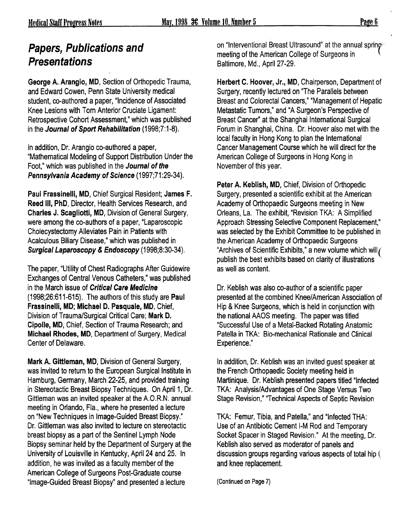#### Page 6

## Papers, Publications and **Presentations**

George A. Arangio, MD, Section of Orthopedic Trauma, and Edward Cowen, Penn State University medical student, co-authored a paper, "Incidence of Associated Knee Lesions with Tom Anterior Cruciate Ligament: Retrospective Cohort Assessment," which was published in the Journal of Sport Rehabilitation (1998;7:1-8).

In addition, Dr. Arangio co-authored a paper, "Mathematical Modeling of Support Distribution Under the Foot," which was published in the Journal of the Pennsylvania Academy of Science (1997;71:29-34).

Paul Frassinelli, MD, Chief Surgical Resident; James F. Reed Ill, PhD, Director, Health Services Research, and Charles J. Scagliotti, MD, Division of General Surgery, were among the co-authors of a paper, "Laparoscopic Cholecystectomy Alleviates Pain in Patients with Acalculous Biliary Disease," which was published in Surgical Laparoscopy & Endoscopy (1998;8:30-34).

The paper, "Utility of Chest Radiographs After Guidewire Exchanges of Central Venous Catheters," was published in the March issue of Critical Care Medicine (1998;26:611-615). The authors of this study are Paul Frassinelli, MD; Michael D. Pasquale, MD, Chief, Division of Trauma/Surgical Critical Care; Mark D. Cipolla, MD, Chief, Section of Trauma Research; and Michael Rhodes, MD, Department of Surgery, Medical Center of Delaware.

Mark A. Gittleman, MD, Division of General Surgery, was invited to return to the European Surgical Institute in Hamburg, Germany, March 22-25, and provided training in Stereotactic Breast Biopsy Techniques. On April 1, Dr. Gittleman was an invited speaker at the A.O.R.N. annual meeting in Orlando, Fla., where he presented a lecture on "New Techniques in Image-Guided Breast Biopsy." Dr. Gittleman was also invited to lecture on stereotactic breast biopsy as a part of the Sentinel Lymph Node Biopsy seminar held by the Department of Surgery at the University of Louisville in Kentucky, April24 and 25. In addition, he was invited as a faculty member of the American College of Surgeons Post-Graduate course "Image-Guided Breast Biopsy" and presented a lecture

on "Interventional Breast Ultrasound" at the annual spring meeting of the American College of Surgeons in \ Baltimore, Md., April 27-29.

Herbert C. Hoover, Jr., MD, Chairperson, Department of Surgery, recently lectured on "The Parallels between Breast and Colorectal Cancers," "Management of Hepatic Metastatic Tumors," and "A Surgeon's Perspective of Breast Cancer" at the Shanghai International Surgical Forum in Shanghai, China. Dr. Hoover also met with the local faculty in Hong Kong to plan the International Cancer Management Course which he will direct for the American College of Surgeons in Hong Kong in November of this year.

Peter A. Keblish, MD, Chief, Division of Orthopedic Surgery, presented a scientific exhibit at the American Academy of Orthopaedic Surgeons meeting in New Orleans, La. The exhibit, "Revision TKA: A Simplified Approach Stressing Selective Component Replacement," was selected by the Exhibit Committee to be published in the American Academy of Orthopaedic Surgeons "Archives of Scientific Exhibits," a new volume which will  $\ell$ publish the best exhibits based on clarity of illustrations as well as content.

Dr. Keblish was also co-author of a scientific paper presented at the combined Knee/American Association of Hip & Knee Surgeons, which is held in conjunction with the national AAOS meeting. The paper was titled "Successful Use of a Metal-Backed Rotating Anatomic Patella in TKA: Bio-mechanical Rationale and Clinical Experience."

In addition, Dr. Keblish was an invited guest speaker at the French Orthopaedic Society meeting held in Martinique. Dr. Keblish presented papers titled "Infected TKA: Analysis/Advantages of One Stage Versus Two Stage Revision," "Technical Aspects of Septic Revision

TKA: Femur, Tibia, and Patella," and "Infected THA: Use of an Antibiotic Cement 1-M Rod and Temporary Socket Spacer in Staged Revision." At the meeting, Dr. Keblish also served as moderator of panels and discussion groups regarding various aspects of total hip ( and knee replacement.

(Continued on Page 7)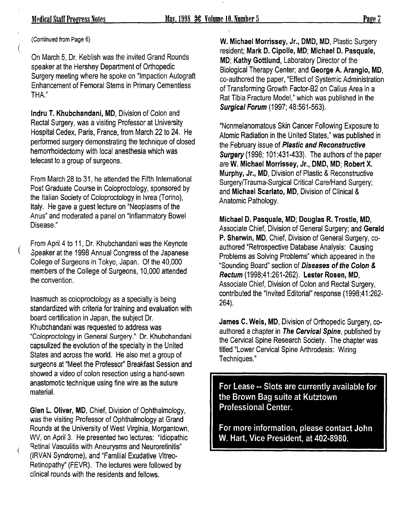(Continued from Page 6)

€

 $\left($ 

On March 5, Dr. Keblish was the invited Grand Rounds speaker at the Hershey Department of Orthopedic Surgery meeting where he spoke on "Impaction Autograft Enhancement of Femoral Stems in Primary Cementless THA."

lndru T. Khubchandani, MD, Division of Colon and Rectal Surgery, was a visiting Professor at University Hospital Cedex, Paris, France, from March 22 to 24. He performed surgery demonstrating the technique of closed hemorrhoidectomy with local anesthesia which was telecast to a group of surgeons.

From March 28 to 31, he attended the Fifth International Post Graduate Course in Coloproctology, sponsored by the Italian Society of Coloproctology in Ivrea (Torino), Italy. He gave a guest lecture on "Neoplasms of the Anus" and moderated a panel on "Inflammatory Bowel Disease."

From April 4 to 11, Dr. Khubchandani was the Keynote .Speaker at the 1998 Annual Congress of the Japanese College of Surgeons in Tokyo, Japan. Of the 40,000 members of the College of Surgeons, 10,000 attended the convention.

Inasmuch as coloproctology as a specialty is being standardized with criteria for training and evaluation with board certification in Japan, the subject Dr. Khubchandani was requested to address was "Coloproctology in General Surgery." Dr. Khubchandani capsulized the evolution of the specialty in the United States and across the world. He also met a group of surgeons at "Meet the Professor'' Breakfast Session and showed a video of colon resection using a hand-sewn anastomotic technique using fine wire as the suture material.

Glen L. Oliver, MD, Chief, Division of Ophthalmology, was the visiting Professor of Ophthalmology at Grand Rounds at the University of West Virginia, Morgantown, WV, on April3. He presented two lectures: "Idiopathic Retinal Vasculitis with Aneurysms and Neuroretinitis" (IRVAN Syndrome), and "Familial Exudative Vitreo-Retinopathy" (FEVR). The lectures were followed by clinical rounds with the residents and fellows.

W. Michael Morrissey, Jr., DMD, MD, Plastic Surgery resident; Mark D. Cipolle, MD; Michael D. Pasquale, MD; Kathy Gottlund, Laboratory Director of the Biological Therapy Center; and George A. Arangio, MD, co-authored the paper, "Effect of Systemic Administration of Transforming Growth Factor-B2 on Callus Area in a Rat Tibia Fracture Model," which was published in the Surgical Forum (1997; 48:561-563).

"Nonmelanomatous Skin Cancer Following Exposure to Atomic Radiation in the United States," was published in the February issue of Plastic and Reconstructive **Surgery** (1998; 101:431-433). The authors of the paper are W. Michael Morrissey, Jr., DMD, MD; Robert X. Murphy, Jr., MD, Division of Plastic & Reconstructive Surgery/Trauma-Surgical Critical Care/Hand Surgery; and Michael Scarlato, MD, Division of Clinical & Anatomic Pathology.

Michael D. Pasquale, MD; Douglas R. Trostle, MD, Associate Chief, Division of General Surgery; and Gerald P. Sherwin, MD, Chief, Division of General Surgery, coauthored "Retrospective Database Analysis: Causing Problems as Solving Problems" which appeared in the "Sounding Board" section of Diseases of the Colon & Rectum (1998;41 :261-262). Lester Rosen, MD, Associate Chief, Division of Colon and Rectal Surgery, contributed the "Invited Editorial" response (1998;41 :262- 264).

James C. Weis, MD, Division of Orthopedic Surgery, coauthored a chapter in The Cervical Spine, published by the Cervical Spine Research Society. The chapter was titled "Lower Cervical Spine Arthrodesis: Wiring Techniques."

For Lease·· Slots are currently available for the Brown Bag suite at Kutztown Professional Center.

For more information, please contact John W. Hart, Vice President, at 402-8980.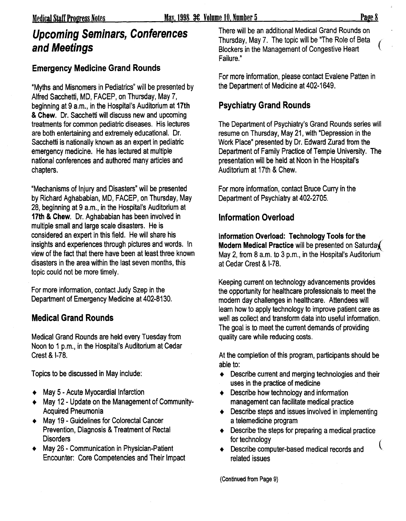# **Upcoming Seminars, Conferences**<br>
The will be an additional Medical Grand Rounds on<br>
Blockers in the Management of Congestive Heart<br>
Blockers in the Management of Congestive Heart

#### **Emergency Medicine Grand Rounds**

"Myths and Misnomers in Pediatrics" will be presented by Alfred Sacchetti, MD, FACEP, on Thursday, May 7, beginning at 9 a.m., in the Hospital's Auditorium at **17th**  & **Chew.** Dr. Sacchetti will discuss new and upcoming treatments for common pediatric diseases. His lectures are both entertaining and extremely educational. Dr. Sacchetti is nationally known as an expert in pediatric emergency medicine. He has lectured at multiple national conferences and authored many articles and chapters.

"Mechanisms of Injury and Disasters" will be presented by Richard Aghababian, MD, FACEP, on Thursday, May 28, beginning at 9 a.m., in the Hospital's Auditorium at **17th & Chew.** Dr. Aghababian has been involved in multiple small and large scale disasters. He is considered an expert in this field. He will share his insights and experiences through pictures and words. In view of the fact that there have been at least three known disasters in the area within the last seven months, this topic could not be more timely.

For more information, contact Judy Szep in the Department of Emergency Medicine at 402-8130.

### **Medical Grand Rounds**

Medical Grand Rounds are held every Tuesday from Noon to 1 p.m., in the Hospital's Auditorium at Cedar Crest & 1-78.

Topics to be discussed in May include:

- $\leftrightarrow$  May 5 Acute Myocardial Infarction
- + May 12 Update on the Management of Community-Acquired Pneumonia
- + May 19 Guidelines for Colorectal Cancer Prevention, Diagnosis & Treatment of Rectal Disorders
- + May 26 Communication in Physician-Patient Encounter: Core Competencies and Their Impact

**and Meetings** Blockers in the Management of Congestive Heart Failure."

For more information, please contact Evalene Patten in the Department of Medicine at 402-1649.

### **Psychiatry Grand Rounds**

The Department of Psychiatry's Grand Rounds series will resume on Thursday, May 21, with "Depression in the Work Place" presented by Dr. Edward Zurad from the Department of Family Practice of Temple University. The presentation will be held at Noon in the Hospital's Auditorium at 17th & Chew.

For more information, contact Bruce Curry in the Department of Psychiatry at 402-2705.

### **Information Overload**

**Information Overload: Technology Tools for the** \_ **Modern Medical Practice** will be presented on Saturda( May 2, from 8 a.m. to 3 p.m., in the Hospital's Auditorium at Cedar Crest & 1-78.

Keeping current on technology advancements provides the opportunity for healthcare professionals to meet the modern day challenges in healthcare. Attendees will learn how to apply technology to improve patient care as well as collect and transform data into useful information. The goal is to meet the current demands of providing quality care while reducing costs.

At the completion of this program, participants should be able to:

- $\triangleleft$  Describe current and merging technologies and their uses in the practice of medicine
- $\triangleleft$  Describe how technology and information management can facilitate medical practice
- $\triangle$  Describe steps and issues involved in implementing a telemedicine program
- $\bullet$  Describe the steps for preparing a medical practice for technology

(

+ Describe computer-based medical records and related issues

(Continued from Page 9)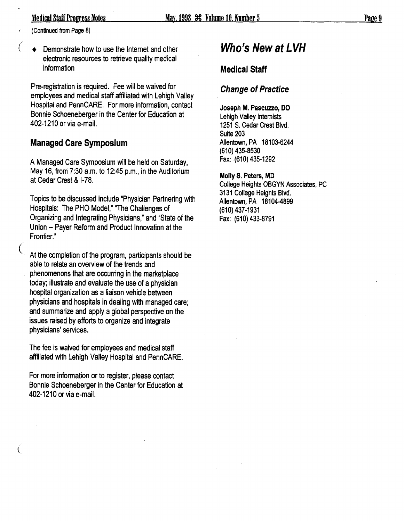(Continued from Page 8)

Demonstrate how to use the Internet and other electronic resources to retrieve quality medical information

Pre-registration is required. Fee will be waived for employees and medical staff affiliated with Lehigh Valley Hospital and PennCARE. For more information, contact Bonnie Schoeneberger in the Center for Education at 402-1210 or via e-mail.

#### Managed Care Symposium

A Managed Care Symposium will be held on Saturday, May 16, from  $7:30$  a.m. to 12:45 p.m., in the Auditorium at Cedar Crest & 1-78.

Topics to be discussed include "Physician Partnering with Hospitals: The PHO Model," "The Challenges of Organizing and Integrating Physicians," and "State of the Union-- Payer Reform and Product Innovation at the Frontier."

At the completion of the program, participants should be able to relate an overview of the trends and phenomenons that are occurring in the marketplace today; illustrate and·evaluate the use of a physician hospital organization as a liaison vehicle between physicians and hospitals in dealing with managed care; and summarize and apply a global perspective on the issues raised by efforts to organize and integrate physicians' services.

The fee is waived for employees and medical staff affiliated with Lehigh Valley Hospital and PennCARE.

For more information or to register, please contact Bonnie Schoeneberger in the Center for Education at 402-1210 or via e-mail.

 $\mathfrak{f}% _{0}$ 

## Who's New at LVH

#### Medical Staff

#### Change of Practice

Joseph M. Pascuzzo, DO Lehigh Valley Internists 1251 S. Cedar Crest Blvd. Suite 203 Allentown, PA 18103-6244 {610) 435-8530 Fax: {610) 435-1292

Molly S. Peters, MD College Heights OBGYN Associates, PC 3131 College Heights Blvd. Allentown, PA 18104-4899 (610) 437-1931 Fax: (610) 433-8791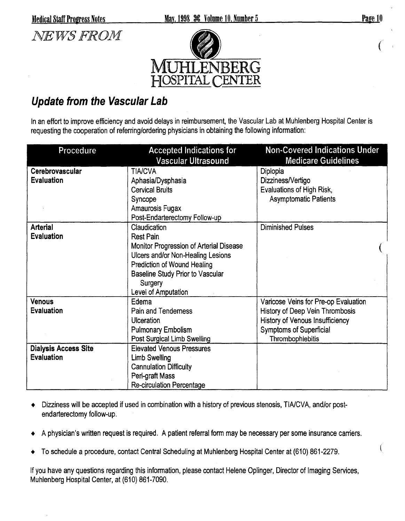

(

## *NEWS FROM*



## **Update from the Vascular Lab**

In an effort to improve efficiency and avoid delays in reimbursement, the Vascular Lab at Muhlenberg Hospital Center is requesting the cooperation of referring/ordering physicians in obtaining the following information:

| Procedure                   | <b>Accepted Indications for</b><br>Vascular Ultrasound | <b>Non-Covered Indications Under</b><br><b>Medicare Guidelines</b> |
|-----------------------------|--------------------------------------------------------|--------------------------------------------------------------------|
| Cerebrovascular             | <b>TIA/CVA</b>                                         | Diplopia                                                           |
| <b>Evaluation</b>           | Aphasia/Dysphasia                                      | Dizziness/Vertigo                                                  |
|                             | <b>Cervical Bruits</b>                                 | Evaluations of High Risk,                                          |
|                             | Syncope                                                | <b>Asymptomatic Patients</b>                                       |
|                             | Amaurosis Fugax                                        |                                                                    |
|                             | Post-Endarterectomy Follow-up                          |                                                                    |
| <b>Arterial</b>             | Claudication                                           | <b>Diminished Pulses</b>                                           |
| <b>Evaluation</b>           | <b>Rest Pain</b>                                       |                                                                    |
|                             | Monitor Progression of Arterial Disease                |                                                                    |
|                             | Ulcers and/or Non-Healing Lesions                      |                                                                    |
|                             | <b>Prediction of Wound Healing</b>                     |                                                                    |
|                             | <b>Baseline Study Prior to Vascular</b>                |                                                                    |
|                             | Surgery                                                |                                                                    |
|                             | Level of Amputation                                    |                                                                    |
| <b>Venous</b>               | Edema                                                  | Varicose Veins for Pre-op Evaluation                               |
| <b>Evaluation</b>           | Pain and Tenderness                                    | History of Deep Vein Thrombosis                                    |
|                             | <b>Ulceration</b>                                      | <b>History of Venous Insufficiency</b>                             |
|                             | <b>Pulmonary Embolism</b>                              | <b>Symptoms of Superficial</b>                                     |
|                             | Post Surgical Limb Swelling                            | Thrombophlebitis                                                   |
| <b>Dialysis Access Site</b> | <b>Elevated Venous Pressures</b>                       |                                                                    |
| <b>Evaluation</b>           | <b>Limb Swelling</b>                                   |                                                                    |
|                             | <b>Cannulation Difficulty</b>                          |                                                                    |
|                             | Peri-graft Mass                                        |                                                                    |
|                             | <b>Re-circulation Percentage</b>                       |                                                                    |

- Dizziness will be accepted if used in combination with a history of previous stenosis, TIA/CVA, and/or postendarterectomy follow-up.
- A physician's written request is required. A patient referral form may be necessary per some insurance carriers.
- To schedule a procedure, contact Central Scheduling at Muhlenberg Hospital Center at (610) 861-2279.

If you have any questions regarding this information, please contact Helene Oplinger, Director of Imaging Services, Muhlenberg Hospital Center, at (610) 861-7090.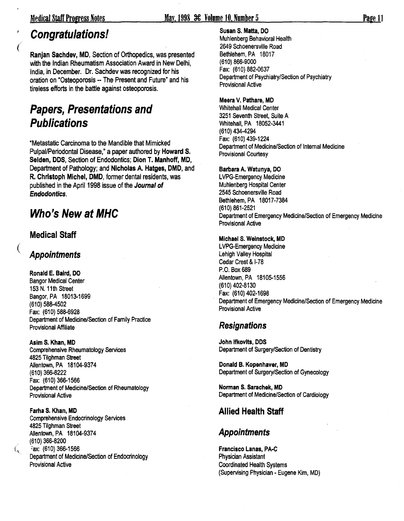#### Medical Staff Progress Notes May. 1998 36 Volume 10. Number 5

## Congratulations!

 $\big($ 

Ranjan Sachdev, MD, Section of Orthopedics, was presented with the Indian Rheumatism Association Award in New Delhi, India, in December. Dr. Sachdev was recognized for his oration on "Osteoporosis-- The Present and Future" and his tireless efforts in the battle against osteoporosis.

## Papers, Presentations and **Publications**

"Metastatic Carcinoma to the Mandible that Mimicked Pulpal/Periodontal Disease," a paper authored by Howard S. Selden, DDS, Section of Endodontics; Dion T. Manhoff, MD, Department of Pathology; and Nicholas A. Hatges, DMD, and R. Christoph Michel, DMD, former dental residents, was published in the April 1998 issue of the Journal of Endodontics.

## Who's New at MHC

#### Medical Staff

#### **Appointments**

Ronald E. Baird, DO Bangor Medical Center 153 N. 11th Street Bangor, PA 18013-1699 (610) 588-4502 Fax: (610) 588-6928 Department of Medicine/Section of Family Practice Provisional Affiliate

Asim S. Khan, MD Comprehensive Rheumatology Services 4825 Tilghman Street Allentown, PA 18104-9374 (610) 366-8222 Fax: (610) 366-1566 Department of Medicine/Section of Rheumatology Provisional Active

Farha S. Khan, MD Comprehensive Endocrinology Services 4825 Tilghman Street Allentown, PA 18104-9374 (610) 366-8200  $L_{\rm a}$  = Fax: (610) 366-1566 Department of Medicine/Section of Endocrinology Provisional Active

#### Susan S. Matta, DO

Muhlenberg Behavioral Health 2649 Schoenersville Road Bethlehem, PA 18017 (610) 866-9000 Fax: (610) 882-0637 Department of Psychiatry/Section of Psychiatry Provisional Active

#### Meera V. Pathare, MD

Whitehall Medical Center 3251 Seventh Street, Suite A Whitehall, PA 18052-3441 (610) 434-4294 Fax: (610) 439-1224 Department of Medicine/Section of Internal Medicine Provisional Courtesy

#### Barbara A. Watunya, DO

LVPG-Emergency Medicine Muhlenberg Hospital Center 2545 Schoenersville Road Bethlehem, PA 18017-7384 (610) 861-2521 Department of Emergency Medicine/Section of Emergency Medicine Provisional Active

#### Michael S. Weinstock, MD

LVPG-Emergency Medicine Lehigh Valley Hospital Cedar Crest & 1-78 P.O. Box689 Allentown, PA 18105-1556 (610) 402-8130 Fax: (610) 402-1698 Department of Emergency Medicine/Section of Emergency Medicine Provisional Active

#### **Resignations**

John Ifkovits, DDS Department of Surgery/Section of Dentistry

Donald B. Kopenhaver, MD Department of Surgery/Section of Gynecology

Norman S. Sarachek, MD Department of Medicine/Section of Cardiology

#### Allied Health Staff

#### Appointments

Francisco Lanas, PA-C Physician Assistant Coordinated Health Systems (Supervising Physician - Eugene Kim, MD)